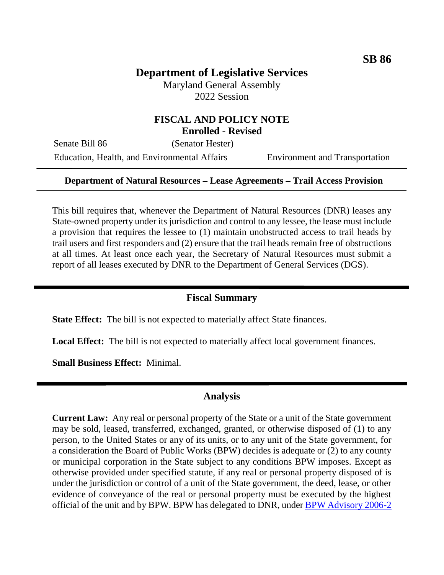# **Department of Legislative Services**

Maryland General Assembly 2022 Session

#### **FISCAL AND POLICY NOTE Enrolled - Revised**

Senate Bill 86 (Senator Hester)

Education, Health, and Environmental Affairs Environment and Transportation

#### **Department of Natural Resources – Lease Agreements – Trail Access Provision**

This bill requires that, whenever the Department of Natural Resources (DNR) leases any State-owned property under its jurisdiction and control to any lessee, the lease must include a provision that requires the lessee to (1) maintain unobstructed access to trail heads by trail users and first responders and (2) ensure that the trail heads remain free of obstructions at all times. At least once each year, the Secretary of Natural Resources must submit a report of all leases executed by DNR to the Department of General Services (DGS).

### **Fiscal Summary**

**State Effect:** The bill is not expected to materially affect State finances.

Local Effect: The bill is not expected to materially affect local government finances.

**Small Business Effect:** Minimal.

### **Analysis**

**Current Law:** Any real or personal property of the State or a unit of the State government may be sold, leased, transferred, exchanged, granted, or otherwise disposed of (1) to any person, to the United States or any of its units, or to any unit of the State government, for a consideration the Board of Public Works (BPW) decides is adequate or (2) to any county or municipal corporation in the State subject to any conditions BPW imposes. Except as otherwise provided under specified statute, if any real or personal property disposed of is under the jurisdiction or control of a unit of the State government, the deed, lease, or other evidence of conveyance of the real or personal property must be executed by the highest official of the unit and by BPW. BPW has delegated to DNR, under [BPW Advisory 2006-2](https://bpw.maryland.gov/Pages/adv-2006-2.aspx)